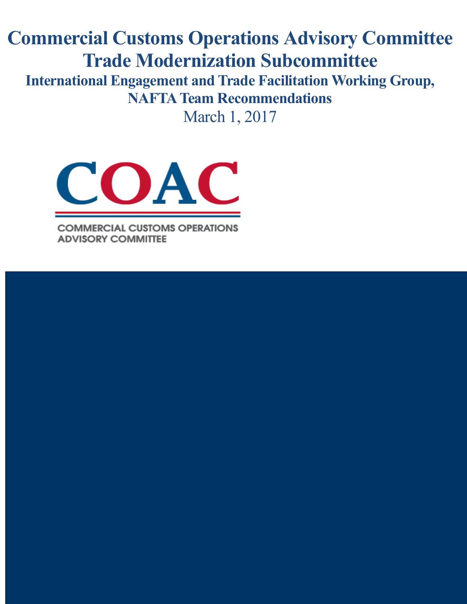# **Commercial Customs Operations Advisory Committee Trade Modernization Subcommittee**

**International Engagement and Trade Facilitation Working Group, NAFTA Team Recommendations** 

March 1, 2017



**COMMERCIAL CUSTOMS OPERATIONS ADVISORY COMMITTEE**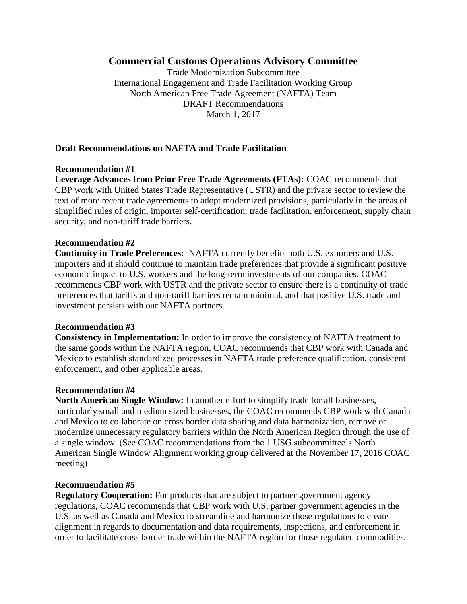# **Commercial Customs Operations Advisory Committee**

Trade Modernization Subcommittee International Engagement and Trade Facilitation Working Group North American Free Trade Agreement (NAFTA) Team DRAFT Recommendations March 1, 2017

# **Draft Recommendations on NAFTA and Trade Facilitation**

#### **Recommendation #1**

**Leverage Advances from Prior Free Trade Agreements (FTAs):** COAC recommends that CBP work with United States Trade Representative (USTR) and the private sector to review the text of more recent trade agreements to adopt modernized provisions, particularly in the areas of simplified rules of origin, importer self-certification, trade facilitation, enforcement, supply chain security, and non-tariff trade barriers.

#### **Recommendation #2**

**Continuity in Trade Preferences:** NAFTA currently benefits both U.S. exporters and U.S. importers and it should continue to maintain trade preferences that provide a significant positive economic impact to U.S. workers and the long-term investments of our companies. COAC recommends CBP work with USTR and the private sector to ensure there is a continuity of trade preferences that tariffs and non-tariff barriers remain minimal, and that positive U.S. trade and investment persists with our NAFTA partners.

#### **Recommendation #3**

**Consistency in Implementation:** In order to improve the consistency of NAFTA treatment to the same goods within the NAFTA region, COAC recommends that CBP work with Canada and Mexico to establish standardized processes in NAFTA trade preference qualification, consistent enforcement, and other applicable areas.

#### **Recommendation #4**

**North American Single Window:** In another effort to simplify trade for all businesses, particularly small and medium sized businesses, the COAC recommends CBP work with Canada and Mexico to collaborate on cross border data sharing and data harmonization, remove or modernize unnecessary regulatory barriers within the North American Region through the use of a single window. (See COAC recommendations from the 1 USG subcommittee's North American Single Window Alignment working group delivered at the November 17, 2016 COAC meeting)

#### **Recommendation #5**

**Regulatory Cooperation:** For products that are subject to partner government agency regulations, COAC recommends that CBP work with U.S. partner government agencies in the U.S. as well as Canada and Mexico to streamline and harmonize those regulations to create alignment in regards to documentation and data requirements, inspections, and enforcement in order to facilitate cross border trade within the NAFTA region for those regulated commodities.